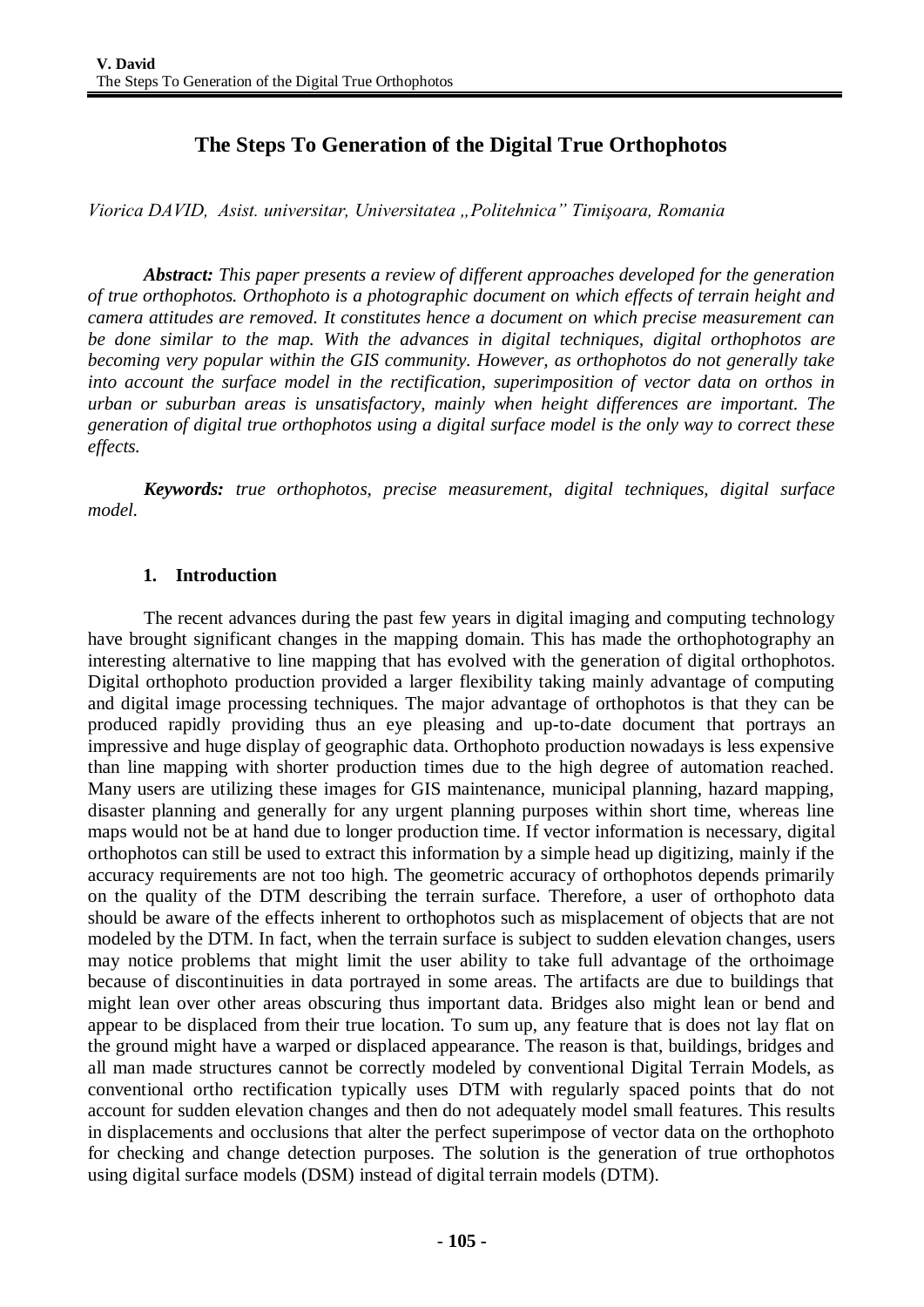# **The Steps To Generation of the Digital True Orthophotos**

*Viorica DAVID, Asist. universitar, Universitatea "Politehnica" Timişoara, Romania*

*Abstract: This paper presents a review of different approaches developed for the generation of true orthophotos. Orthophoto is a photographic document on which effects of terrain height and camera attitudes are removed. It constitutes hence a document on which precise measurement can be done similar to the map. With the advances in digital techniques, digital orthophotos are becoming very popular within the GIS community. However, as orthophotos do not generally take into account the surface model in the rectification, superimposition of vector data on orthos in urban or suburban areas is unsatisfactory, mainly when height differences are important. The generation of digital true orthophotos using a digital surface model is the only way to correct these effects.*

*Keywords: true orthophotos, precise measurement, digital techniques, digital surface model.*

### **1. Introduction**

The recent advances during the past few years in digital imaging and computing technology have brought significant changes in the mapping domain. This has made the orthophotography an interesting alternative to line mapping that has evolved with the generation of digital orthophotos. Digital orthophoto production provided a larger flexibility taking mainly advantage of computing and digital image processing techniques. The major advantage of orthophotos is that they can be produced rapidly providing thus an eye pleasing and up-to-date document that portrays an impressive and huge display of geographic data. Orthophoto production nowadays is less expensive than line mapping with shorter production times due to the high degree of automation reached. Many users are utilizing these images for GIS maintenance, municipal planning, hazard mapping, disaster planning and generally for any urgent planning purposes within short time, whereas line maps would not be at hand due to longer production time. If vector information is necessary, digital orthophotos can still be used to extract this information by a simple head up digitizing, mainly if the accuracy requirements are not too high. The geometric accuracy of orthophotos depends primarily on the quality of the DTM describing the terrain surface. Therefore, a user of orthophoto data should be aware of the effects inherent to orthophotos such as misplacement of objects that are not modeled by the DTM. In fact, when the terrain surface is subject to sudden elevation changes, users may notice problems that might limit the user ability to take full advantage of the orthoimage because of discontinuities in data portrayed in some areas. The artifacts are due to buildings that might lean over other areas obscuring thus important data. Bridges also might lean or bend and appear to be displaced from their true location. To sum up, any feature that is does not lay flat on the ground might have a warped or displaced appearance. The reason is that, buildings, bridges and all man made structures cannot be correctly modeled by conventional Digital Terrain Models, as conventional ortho rectification typically uses DTM with regularly spaced points that do not account for sudden elevation changes and then do not adequately model small features. This results in displacements and occlusions that alter the perfect superimpose of vector data on the orthophoto for checking and change detection purposes. The solution is the generation of true orthophotos using digital surface models (DSM) instead of digital terrain models (DTM).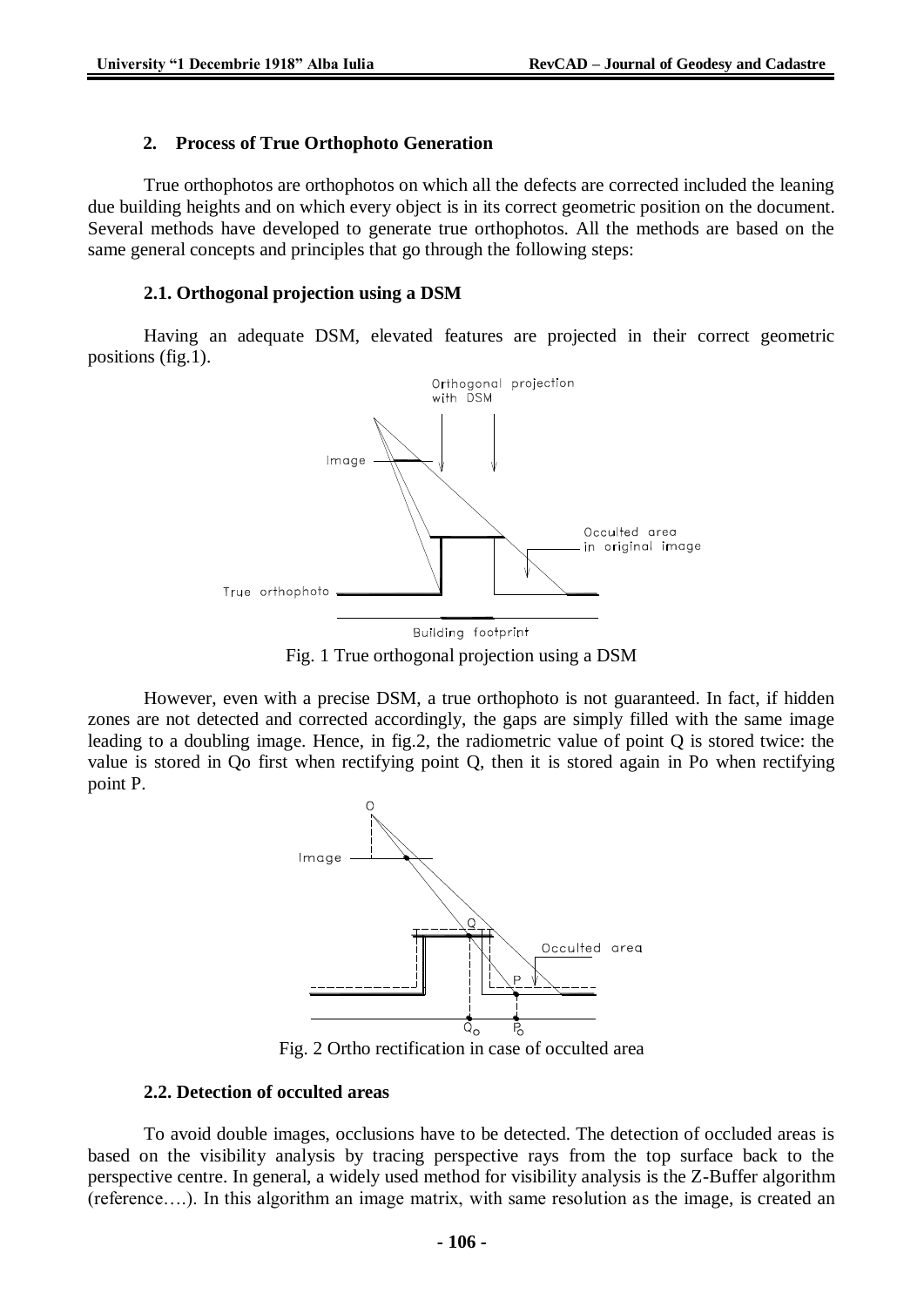#### **2. Process of True Orthophoto Generation**

True orthophotos are orthophotos on which all the defects are corrected included the leaning due building heights and on which every object is in its correct geometric position on the document. Several methods have developed to generate true orthophotos. All the methods are based on the same general concepts and principles that go through the following steps:

#### **2.1. Orthogonal projection using a DSM**

Having an adequate DSM, elevated features are projected in their correct geometric positions (fig.1).



Fig. 1 True orthogonal projection using a DSM

However, even with a precise DSM, a true orthophoto is not guaranteed. In fact, if hidden zones are not detected and corrected accordingly, the gaps are simply filled with the same image leading to a doubling image. Hence, in fig.2, the radiometric value of point Q is stored twice: the value is stored in Qo first when rectifying point Q, then it is stored again in Po when rectifying point P.



Fig. 2 Ortho rectification in case of occulted area

#### **2.2. Detection of occulted areas**

To avoid double images, occlusions have to be detected. The detection of occluded areas is based on the visibility analysis by tracing perspective rays from the top surface back to the perspective centre. In general, a widely used method for visibility analysis is the Z-Buffer algorithm (reference….). In this algorithm an image matrix, with same resolution as the image, is created an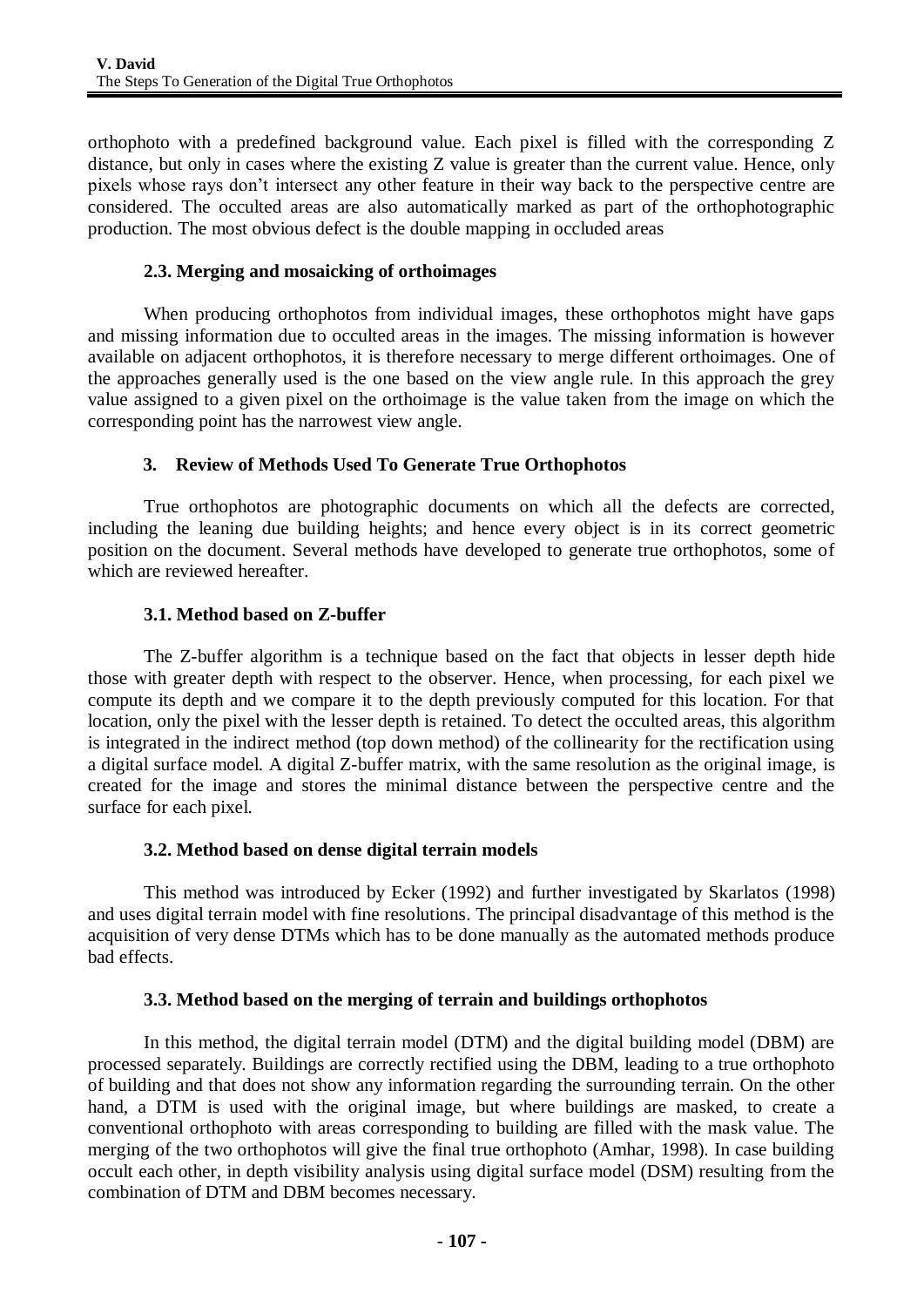orthophoto with a predefined background value. Each pixel is filled with the corresponding Z distance, but only in cases where the existing Z value is greater than the current value. Hence, only pixels whose rays don't intersect any other feature in their way back to the perspective centre are considered. The occulted areas are also automatically marked as part of the orthophotographic production. The most obvious defect is the double mapping in occluded areas

# **2.3. Merging and mosaicking of orthoimages**

When producing orthophotos from individual images, these orthophotos might have gaps and missing information due to occulted areas in the images. The missing information is however available on adjacent orthophotos, it is therefore necessary to merge different orthoimages. One of the approaches generally used is the one based on the view angle rule. In this approach the grey value assigned to a given pixel on the orthoimage is the value taken from the image on which the corresponding point has the narrowest view angle.

# **3. Review of Methods Used To Generate True Orthophotos**

True orthophotos are photographic documents on which all the defects are corrected, including the leaning due building heights; and hence every object is in its correct geometric position on the document. Several methods have developed to generate true orthophotos, some of which are reviewed hereafter.

# **3.1. Method based on Z-buffer**

The Z-buffer algorithm is a technique based on the fact that objects in lesser depth hide those with greater depth with respect to the observer. Hence, when processing, for each pixel we compute its depth and we compare it to the depth previously computed for this location. For that location, only the pixel with the lesser depth is retained. To detect the occulted areas, this algorithm is integrated in the indirect method (top down method) of the collinearity for the rectification using a digital surface model. A digital Z-buffer matrix, with the same resolution as the original image, is created for the image and stores the minimal distance between the perspective centre and the surface for each pixel.

### **3.2. Method based on dense digital terrain models**

This method was introduced by Ecker (1992) and further investigated by Skarlatos (1998) and uses digital terrain model with fine resolutions. The principal disadvantage of this method is the acquisition of very dense DTMs which has to be done manually as the automated methods produce bad effects.

### **3.3. Method based on the merging of terrain and buildings orthophotos**

In this method, the digital terrain model (DTM) and the digital building model (DBM) are processed separately. Buildings are correctly rectified using the DBM, leading to a true orthophoto of building and that does not show any information regarding the surrounding terrain. On the other hand, a DTM is used with the original image, but where buildings are masked, to create a conventional orthophoto with areas corresponding to building are filled with the mask value. The merging of the two orthophotos will give the final true orthophoto (Amhar, 1998). In case building occult each other, in depth visibility analysis using digital surface model (DSM) resulting from the combination of DTM and DBM becomes necessary.